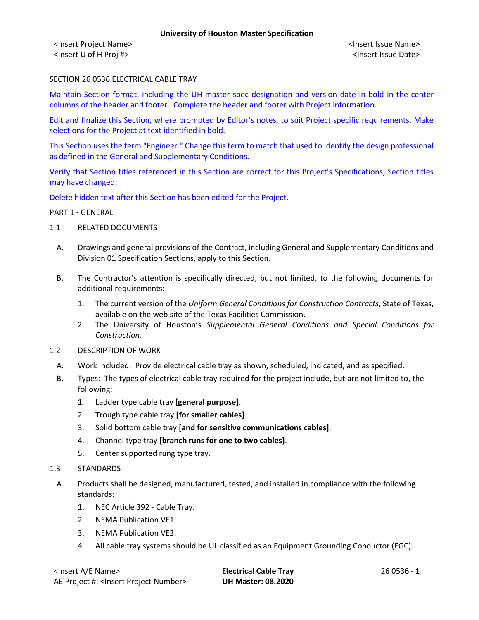<Insert Project Name> <Insert Issue Name> <Insert U of H Proj #> <Insert Issue Date>

## SECTION 26 0536 ELECTRICAL CABLE TRAY

Maintain Section format, including the UH master spec designation and version date in bold in the center columns of the header and footer. Complete the header and footer with Project information.

Edit and finalize this Section, where prompted by Editor's notes, to suit Project specific requirements. Make selections for the Project at text identified in bold.

This Section uses the term "Engineer." Change this term to match that used to identify the design professional as defined in the General and Supplementary Conditions.

Verify that Section titles referenced in this Section are correct for this Project's Specifications; Section titles may have changed.

Delete hidden text after this Section has been edited for the Project.

#### PART 1 - GENERAL

- 1.1 RELATED DOCUMENTS
	- A. Drawings and general provisions of the Contract, including General and Supplementary Conditions and Division 01 Specification Sections, apply to this Section.
	- B. The Contractor's attention is specifically directed, but not limited, to the following documents for additional requirements:
		- 1. The current version of the *Uniform General Conditions for Construction Contracts*, State of Texas, available on the web site of the Texas Facilities Commission.
		- 2. The University of Houston's *Supplemental General Conditions and Special Conditions for Construction.*
- 1.2 DESCRIPTION OF WORK
	- A. Work Included: Provide electrical cable tray as shown, scheduled, indicated, and as specified.
	- B. Types: The types of electrical cable tray required for the project include, but are not limited to, the following:
		- 1. Ladder type cable tray **[general purpose]**.
		- 2. Trough type cable tray **[for smaller cables]**.
		- 3. Solid bottom cable tray **[and for sensitive communications cables]**.
		- 4. Channel type tray **[branch runs for one to two cables]**.
		- 5. Center supported rung type tray.
- 1.3 STANDARDS
- A. Products shall be designed, manufactured, tested, and installed in compliance with the following standards:
	- 1. NEC Article 392 Cable Tray.
	- 2. NEMA Publication VE1.
	- 3. NEMA Publication VE2.
	- 4. All cable tray systems should be UL classified as an Equipment Grounding Conductor (EGC).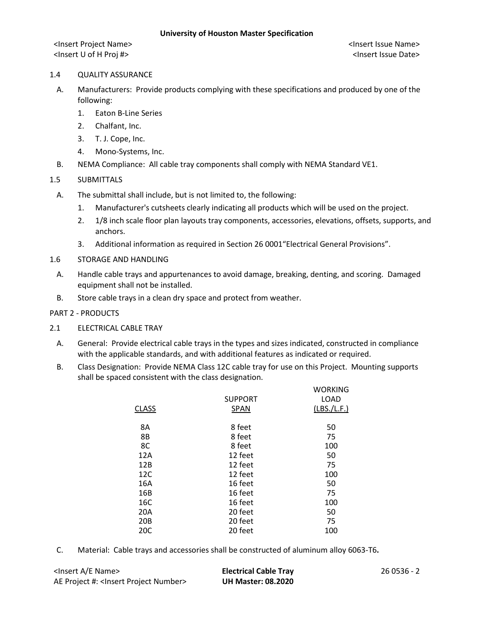<Insert Project Name> <Insert Issue Name> <Insert U of H Proj #> <Insert Issue Date>

### 1.4 QUALITY ASSURANCE

- A. Manufacturers: Provide products complying with these specifications and produced by one of the following:
	- 1. Eaton B-Line Series
	- 2. Chalfant, Inc.
	- 3. T. J. Cope, Inc.
	- 4. Mono-Systems, Inc.
- B. NEMA Compliance: All cable tray components shall comply with NEMA Standard VE1.

# 1.5 SUBMITTALS

- A. The submittal shall include, but is not limited to, the following:
	- 1. Manufacturer's cutsheets clearly indicating all products which will be used on the project.
	- 2. 1/8 inch scale floor plan layouts tray components, accessories, elevations, offsets, supports, and anchors.
	- 3. Additional information as required in Section 26 0001"Electrical General Provisions".
- 1.6 STORAGE AND HANDLING
	- A. Handle cable trays and appurtenances to avoid damage, breaking, denting, and scoring. Damaged equipment shall not be installed.
	- B. Store cable trays in a clean dry space and protect from weather.

### PART 2 - PRODUCTS

- 2.1 ELECTRICAL CABLE TRAY
	- A. General: Provide electrical cable trays in the types and sizes indicated, constructed in compliance with the applicable standards, and with additional features as indicated or required.
	- B. Class Designation: Provide NEMA Class 12C cable tray for use on this Project. Mounting supports shall be spaced consistent with the class designation.

|                 |                | <b>WORKING</b> |
|-----------------|----------------|----------------|
|                 | <b>SUPPORT</b> | <b>LOAD</b>    |
| <b>CLASS</b>    | <b>SPAN</b>    | (LBS./L.F.)    |
|                 |                |                |
| 8Α              | 8 feet         | 50             |
| 8B              | 8 feet         | 75             |
| 8C              | 8 feet         | 100            |
| 12A             | 12 feet        | 50             |
| 12B             | 12 feet        | 75             |
| 12C             | 12 feet        | 100            |
| 16A             | 16 feet        | 50             |
| 16B             | 16 feet        | 75             |
| 16C             | 16 feet        | 100            |
| 20A             | 20 feet        | 50             |
| 20 <sub>B</sub> | 20 feet        | 75             |
| 20C             | 20 feet        | 100            |
|                 |                |                |

C. Material: Cable trays and accessories shall be constructed of aluminum alloy 6063-T6**.** 

| <lnsert a="" e="" name=""></lnsert>                  | <b>Electrical Cable Tray</b> | 26 0536 - 2 |
|------------------------------------------------------|------------------------------|-------------|
| AE Project #: <lnsert number="" project=""></lnsert> | <b>UH Master: 08.2020</b>    |             |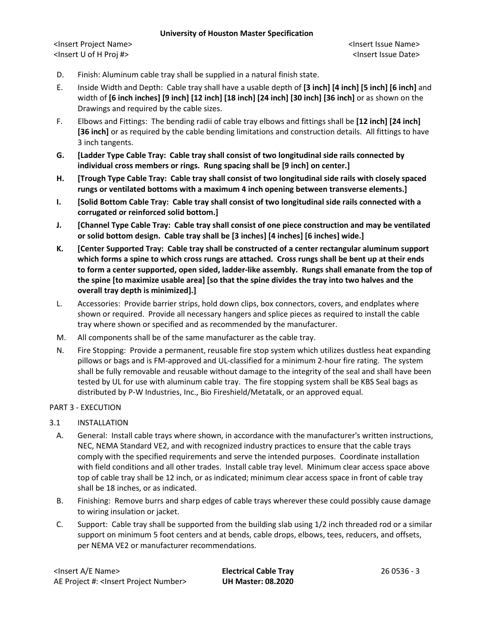### **University of Houston Master Specification**

<Insert Project Name> <Insert Issue Name> <Insert U of H Proj #> <Insert Issue Date>

- D. Finish: Aluminum cable tray shall be supplied in a natural finish state.
- E. Inside Width and Depth: Cable tray shall have a usable depth of **[3 inch] [4 inch] [5 inch] [6 inch]** and width of **[6 inch inches] [9 inch] [12 inch] [18 inch] [24 inch] [30 inch] [36 inch]** or as shown on the Drawings and required by the cable sizes.
- F. Elbows and Fittings: The bending radii of cable tray elbows and fittings shall be **[12 inch] [24 inch] [36 inch]** or as required by the cable bending limitations and construction details. All fittings to have 3 inch tangents.
- **G. [Ladder Type Cable Tray: Cable tray shall consist of two longitudinal side rails connected by individual cross members or rings. Rung spacing shall be [9 inch] on center.]**
- **H. [Trough Type Cable Tray: Cable tray shall consist of two longitudinal side rails with closely spaced rungs or ventilated bottoms with a maximum 4 inch opening between transverse elements.]**
- **I. [Solid Bottom Cable Tray: Cable tray shall consist of two longitudinal side rails connected with a corrugated or reinforced solid bottom.]**
- **J. [Channel Type Cable Tray: Cable tray shall consist of one piece construction and may be ventilated or solid bottom design. Cable tray shall be [3 inches] [4 inches] [6 inches] wide.]**
- **K. [Center Supported Tray: Cable tray shall be constructed of a center rectangular aluminum support which forms a spine to which cross rungs are attached. Cross rungs shall be bent up at their ends to form a center supported, open sided, ladder-like assembly. Rungs shall emanate from the top of the spine [to maximize usable area] [so that the spine divides the tray into two halves and the overall tray depth is minimized].]**
- L. Accessories: Provide barrier strips, hold down clips, box connectors, covers, and endplates where shown or required. Provide all necessary hangers and splice pieces as required to install the cable tray where shown or specified and as recommended by the manufacturer.
- M. All components shall be of the same manufacturer as the cable tray.
- N. Fire Stopping: Provide a permanent, reusable fire stop system which utilizes dustless heat expanding pillows or bags and is FM-approved and UL-classified for a minimum 2-hour fire rating. The system shall be fully removable and reusable without damage to the integrity of the seal and shall have been tested by UL for use with aluminum cable tray. The fire stopping system shall be KBS Seal bags as distributed by P-W Industries, Inc., Bio Fireshield/Metatalk, or an approved equal.

# PART 3 - EXECUTION

- 3.1 INSTALLATION
	- A. General: Install cable trays where shown, in accordance with the manufacturer's written instructions, NEC, NEMA Standard VE2, and with recognized industry practices to ensure that the cable trays comply with the specified requirements and serve the intended purposes. Coordinate installation with field conditions and all other trades. Install cable tray level. Minimum clear access space above top of cable tray shall be 12 inch, or as indicated; minimum clear access space in front of cable tray shall be 18 inches, or as indicated.
	- B. Finishing: Remove burrs and sharp edges of cable trays wherever these could possibly cause damage to wiring insulation or jacket.
	- C. Support: Cable tray shall be supported from the building slab using 1/2 inch threaded rod or a similar support on minimum 5 foot centers and at bends, cable drops, elbows, tees, reducers, and offsets, per NEMA VE2 or manufacturer recommendations.